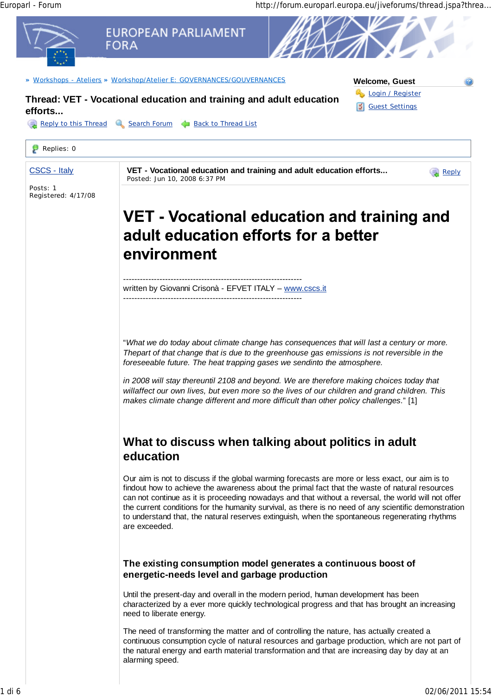Europarl - Forum http://forum.europarl.europa.eu/jiveforums/thread.jspa?threa...

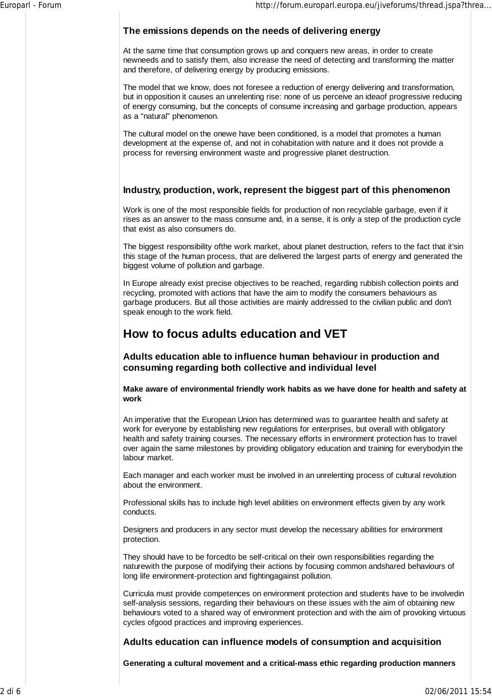# **The emissions depends on the needs of delivering energy**

At the same time that consumption grows up and conquers new areas, in order to create newneeds and to satisfy them, also increase the need of detecting and transforming the matter and therefore, of delivering energy by producing emissions.

The model that we know, does not foresee a reduction of energy delivering and transformation, but in opposition it causes an unrelenting rise: none of us perceive an ideaof progressive reducing of energy consuming, but the concepts of consume increasing and garbage production, appears as a "natural" phenomenon.

The cultural model on the onewe have been conditioned, is a model that promotes a human development at the expense of, and not in cohabitation with nature and it does not provide a process for reversing environment waste and progressive planet destruction.

## **Industry, production, work, represent the biggest part of this phenomenon**

Work is one of the most responsible fields for production of non recyclable garbage, even if it rises as an answer to the mass consume and, in a sense, it is only a step of the production cycle that exist as also consumers do.

The biggest responsibility ofthe work market, about planet destruction, refers to the fact that it'sin this stage of the human process, that are delivered the largest parts of energy and generated the biggest volume of pollution and garbage.

In Europe already exist precise objectives to be reached, regarding rubbish collection points and recycling, promoted with actions that have the aim to modify the consumers behaviours as garbage producers. But all those activities are mainly addressed to the civilian public and don't speak enough to the work field.

# **How to focus adults education and VET**

**Adults education able to influence human behaviour in production and consuming regarding both collective and individual level**

**Make aware of environmental friendly work habits as we have done for health and safety at work**

An imperative that the European Union has determined was to guarantee health and safety at work for everyone by establishing new regulations for enterprises, but overall with obligatory health and safety training courses. The necessary efforts in environment protection has to travel over again the same milestones by providing obligatory education and training for everybodyin the labour market.

Each manager and each worker must be involved in an unrelenting process of cultural revolution about the environment.

Professional skills has to include high level abilities on environment effects given by any work conducts.

Designers and producers in any sector must develop the necessary abilities for environment protection.

They should have to be forcedto be self-critical on their own responsibilities regarding the naturewith the purpose of modifying their actions by focusing common andshared behaviours of long life environment-protection and fightingagainst pollution.

Curricula must provide competences on environment protection and students have to be involvedin self-analysis sessions, regarding their behaviours on these issues with the aim of obtaining new behaviours voted to a shared way of environment protection and with the aim of provoking virtuous cycles ofgood practices and improving experiences.

# **Adults education can influence models of consumption and acquisition**

**Generating a cultural movement and a critical-mass ethic regarding production manners**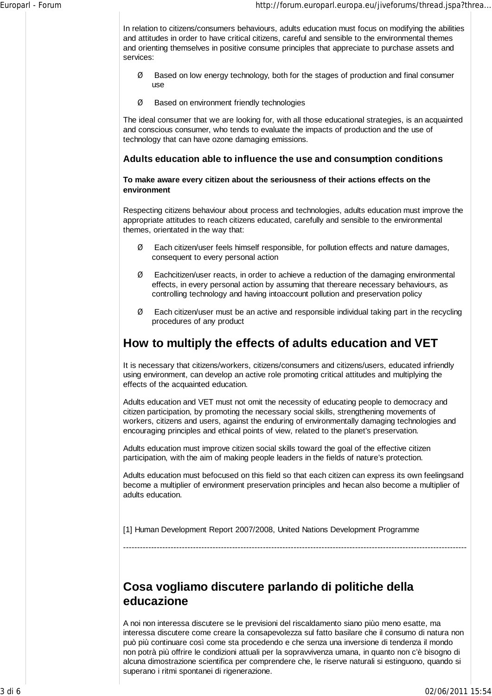In relation to citizens/consumers behaviours, adults education must focus on modifying the abilities and attitudes in order to have critical citizens, careful and sensible to the environmental themes and orienting themselves in positive consume principles that appreciate to purchase assets and services:

- Ø Based on low energy technology, both for the stages of production and final consumer use
- Ø Based on environment friendly technologies

The ideal consumer that we are looking for, with all those educational strategies, is an acquainted and conscious consumer, who tends to evaluate the impacts of production and the use of technology that can have ozone damaging emissions.

## **Adults education able to influence the use and consumption conditions**

#### **To make aware every citizen about the seriousness of their actions effects on the environment**

Respecting citizens behaviour about process and technologies, adults education must improve the appropriate attitudes to reach citizens educated, carefully and sensible to the environmental themes, orientated in the way that:

- $\emptyset$  Each citizen/user feels himself responsible, for pollution effects and nature damages, consequent to every personal action
- Ø Eachcitizen/user reacts, in order to achieve a reduction of the damaging environmental effects, in every personal action by assuming that thereare necessary behaviours, as controlling technology and having intoaccount pollution and preservation policy
- $\emptyset$  Each citizen/user must be an active and responsible individual taking part in the recycling procedures of any product

# **How to multiply the effects of adults education and VET**

It is necessary that citizens/workers, citizens/consumers and citizens/users, educated infriendly using environment, can develop an active role promoting critical attitudes and multiplying the effects of the acquainted education.

Adults education and VET must not omit the necessity of educating people to democracy and citizen participation, by promoting the necessary social skills, strengthening movements of workers, citizens and users, against the enduring of environmentally damaging technologies and encouraging principles and ethical points of view, related to the planet's preservation.

Adults education must improve citizen social skills toward the goal of the effective citizen participation, with the aim of making people leaders in the fields of nature's protection.

Adults education must befocused on this field so that each citizen can express its own feelingsand become a multiplier of environment preservation principles and hecan also become a multiplier of adults education.

---------------------------------------------------------------------------------------------------------------------------

[1] Human Development Report 2007/2008, United Nations Development Programme

**Cosa vogliamo discutere parlando di politiche della**

# **educazione**

A noi non interessa discutere se le previsioni del riscaldamento siano piùo meno esatte, ma interessa discutere come creare la consapevolezza sul fatto basilare che il consumo di natura non può più continuare così come sta procedendo e che senza una inversione di tendenza il mondo non potrà più offrire le condizioni attuali per la sopravvivenza umana, in quanto non c'è bisogno di alcuna dimostrazione scientifica per comprendere che, le riserve naturali si estinguono, quando si superano i ritmi spontanei di rigenerazione.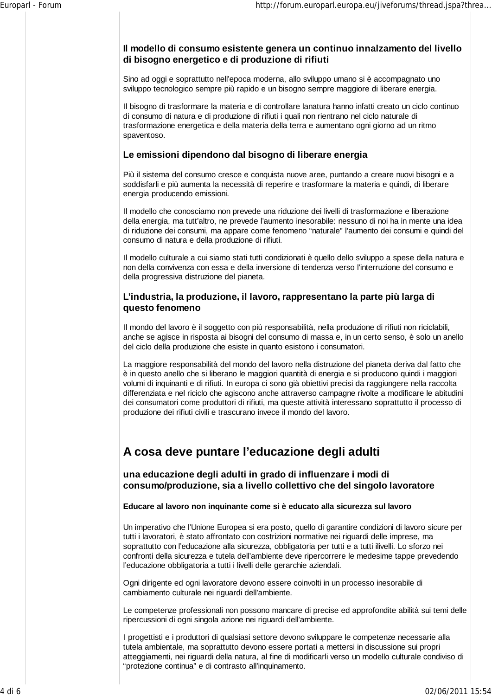## **Il modello di consumo esistente genera un continuo innalzamento del livello di bisogno energetico e di produzione di rifiuti**

Sino ad oggi e soprattutto nell'epoca moderna, allo sviluppo umano si è accompagnato uno sviluppo tecnologico sempre più rapido e un bisogno sempre maggiore di liberare energia.

Il bisogno di trasformare la materia e di controllare lanatura hanno infatti creato un ciclo continuo di consumo di natura e di produzione di rifiuti i quali non rientrano nel ciclo naturale di trasformazione energetica e della materia della terra e aumentano ogni giorno ad un ritmo spaventoso.

#### **Le emissioni dipendono dal bisogno di liberare energia**

Più il sistema del consumo cresce e conquista nuove aree, puntando a creare nuovi bisogni e a soddisfarli e più aumenta la necessità di reperire e trasformare la materia e quindi, di liberare energia producendo emissioni.

Il modello che conosciamo non prevede una riduzione dei livelli di trasformazione e liberazione della energia, ma tutt'altro, ne prevede l'aumento inesorabile: nessuno di noi ha in mente una idea di riduzione dei consumi, ma appare come fenomeno "naturale" l'aumento dei consumi e quindi del consumo di natura e della produzione di rifiuti.

Il modello culturale a cui siamo stati tutti condizionati è quello dello sviluppo a spese della natura e non della convivenza con essa e della inversione di tendenza verso l'interruzione del consumo e della progressiva distruzione del pianeta.

# **L'industria, la produzione, il lavoro, rappresentano la parte più larga di questo fenomeno**

Il mondo del lavoro è il soggetto con più responsabilità, nella produzione di rifiuti non riciclabili, anche se agisce in risposta ai bisogni del consumo di massa e, in un certo senso, è solo un anello del ciclo della produzione che esiste in quanto esistono i consumatori.

La maggiore responsabilità del mondo del lavoro nella distruzione del pianeta deriva dal fatto che è in questo anello che si liberano le maggiori quantità di energia e si producono quindi i maggiori volumi di inquinanti e di rifiuti. In europa ci sono già obiettivi precisi da raggiungere nella raccolta differenziata e nel riciclo che agiscono anche attraverso campagne rivolte a modificare le abitudini dei consumatori come produttori di rifiuti, ma queste attività interessano soprattutto il processo di produzione dei rifiuti civili e trascurano invece il mondo del lavoro.

# **A cosa deve puntare l'educazione degli adulti**

**una educazione degli adulti in grado di influenzare i modi di consumo/produzione, sia a livello collettivo che del singolo lavoratore**

**Educare al lavoro non inquinante come si è educato alla sicurezza sul lavoro**

Un imperativo che l'Unione Europea si era posto, quello di garantire condizioni di lavoro sicure per tutti i lavoratori, è stato affrontato con costrizioni normative nei riguardi delle imprese, ma soprattutto con l'educazione alla sicurezza, obbligatoria per tutti e a tutti ilivelli. Lo sforzo nei confronti della sicurezza e tutela dell'ambiente deve ripercorrere le medesime tappe prevedendo l'educazione obbligatoria a tutti i livelli delle gerarchie aziendali.

Ogni dirigente ed ogni lavoratore devono essere coinvolti in un processo inesorabile di cambiamento culturale nei riguardi dell'ambiente.

Le competenze professionali non possono mancare di precise ed approfondite abilità sui temi delle ripercussioni di ogni singola azione nei riguardi dell'ambiente.

I progettisti e i produttori di qualsiasi settore devono sviluppare le competenze necessarie alla tutela ambientale, ma soprattutto devono essere portati a mettersi in discussione sui propri atteggiamenti, nei riguardi della natura, al fine di modificarli verso un modello culturale condiviso di "protezione continua" e di contrasto all'inquinamento.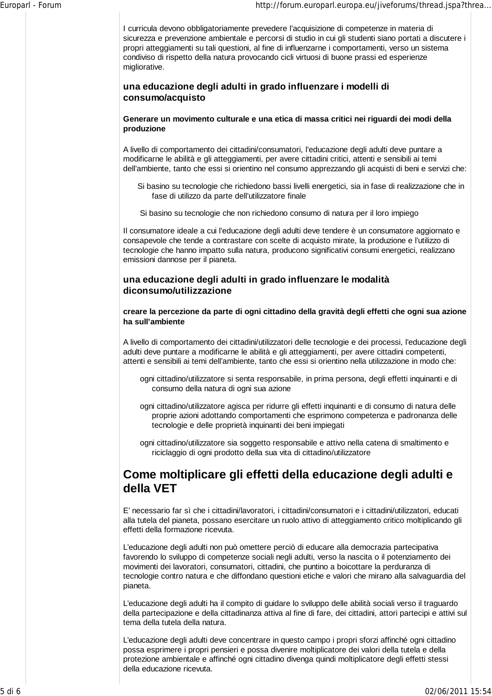I curricula devono obbligatoriamente prevedere l'acquisizione di competenze in materia di sicurezza e prevenzione ambientale e percorsi di studio in cui gli studenti siano portati a discutere i propri atteggiamenti su tali questioni, al fine di influenzarne i comportamenti, verso un sistema condiviso di rispetto della natura provocando cicli virtuosi di buone prassi ed esperienze migliorative.

## **una educazione degli adulti in grado influenzare i modelli di consumo/acquisto**

#### **Generare un movimento culturale e una etica di massa critici nei riguardi dei modi della produzione**

A livello di comportamento dei cittadini/consumatori, l'educazione degli adulti deve puntare a modificarne le abilità e gli atteggiamenti, per avere cittadini critici, attenti e sensibili ai temi dell'ambiente, tanto che essi si orientino nel consumo apprezzando gli acquisti di beni e servizi che:

- Si basino su tecnologie che richiedono bassi livelli energetici, sia in fase di realizzazione che in fase di utilizzo da parte dell'utilizzatore finale
- Si basino su tecnologie che non richiedono consumo di natura per il loro impiego

Il consumatore ideale a cui l'educazione degli adulti deve tendere è un consumatore aggiornato e consapevole che tende a contrastare con scelte di acquisto mirate, la produzione e l'utilizzo di tecnologie che hanno impatto sulla natura, producono significativi consumi energetici, realizzano emissioni dannose per il pianeta.

# **una educazione degli adulti in grado influenzare le modalità diconsumo/utilizzazione**

#### **creare la percezione da parte di ogni cittadino della gravità degli effetti che ogni sua azione ha sull'ambiente**

A livello di comportamento dei cittadini/utilizzatori delle tecnologie e dei processi, l'educazione degli adulti deve puntare a modificarne le abilità e gli atteggiamenti, per avere cittadini competenti, attenti e sensibili ai temi dell'ambiente, tanto che essi si orientino nella utilizzazione in modo che:

- ogni cittadino/utilizzatore si senta responsabile, in prima persona, degli effetti inquinanti e di consumo della natura di ogni sua azione
- ogni cittadino/utilizzatore agisca per ridurre gli effetti inquinanti e di consumo di natura delle proprie azioni adottando comportamenti che esprimono competenza e padronanza delle tecnologie e delle proprietà inquinanti dei beni impiegati
- ogni cittadino/utilizzatore sia soggetto responsabile e attivo nella catena di smaltimento e riciclaggio di ogni prodotto della sua vita di cittadino/utilizzatore

# **Come moltiplicare gli effetti della educazione degli adulti e della VET**

E' necessario far sì che i cittadini/lavoratori, i cittadini/consumatori e i cittadini/utilizzatori, educati alla tutela del pianeta, possano esercitare un ruolo attivo di atteggiamento critico moltiplicando gli effetti della formazione ricevuta.

L'educazione degli adulti non può omettere perciò di educare alla democrazia partecipativa favorendo lo sviluppo di competenze sociali negli adulti, verso la nascita o il potenziamento dei movimenti dei lavoratori, consumatori, cittadini, che puntino a boicottare la perduranza di tecnologie contro natura e che diffondano questioni etiche e valori che mirano alla salvaguardia del pianeta.

L'educazione degli adulti ha il compito di guidare lo sviluppo delle abilità sociali verso il traguardo della partecipazione e della cittadinanza attiva al fine di fare, dei cittadini, attori partecipi e attivi sul tema della tutela della natura.

L'educazione degli adulti deve concentrare in questo campo i propri sforzi affinché ogni cittadino possa esprimere i propri pensieri e possa divenire moltiplicatore dei valori della tutela e della protezione ambientale e affinché ogni cittadino divenga quindi moltiplicatore degli effetti stessi della educazione ricevuta.